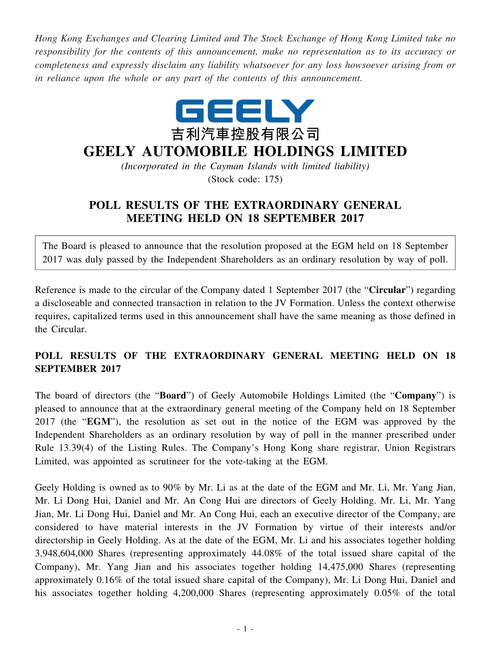*Hong Kong Exchanges and Clearing Limited and The Stock Exchange of Hong Kong Limited take no responsibility for the contents of this announcement, make no representation as to its accuracy or completeness and expressly disclaim any liability whatsoever for any loss howsoever arising from or in reliance upon the whole or any part of the contents of this announcement.*



## **GEELY AUTOMOBILE HOLDINGS LIMITED**

*(Incorporated in the Cayman Islands with limited liability)* (Stock code: 175)

## **POLL RESULTS OF THE EXTRAORDINARY GENERAL MEETING HELD ON 18 SEPTEMBER 2017**

The Board is pleased to announce that the resolution proposed at the EGM held on 18 September 2017 was duly passed by the Independent Shareholders as an ordinary resolution by way of poll.

Reference is made to the circular of the Company dated 1 September 2017 (the "**Circular**") regarding a discloseable and connected transaction in relation to the JV Formation. Unless the context otherwise requires, capitalized terms used in this announcement shall have the same meaning as those defined in the Circular.

## **POLL RESULTS OF THE EXTRAORDINARY GENERAL MEETING HELD ON 18 SEPTEMBER 2017**

The board of directors (the "**Board**") of Geely Automobile Holdings Limited (the "**Company**") is pleased to announce that at the extraordinary general meeting of the Company held on 18 September 2017 (the "**EGM**"), the resolution as set out in the notice of the EGM was approved by the Independent Shareholders as an ordinary resolution by way of poll in the manner prescribed under Rule 13.39(4) of the Listing Rules. The Company's Hong Kong share registrar, Union Registrars Limited, was appointed as scrutineer for the vote-taking at the EGM.

Geely Holding is owned as to 90% by Mr. Li as at the date of the EGM and Mr. Li, Mr. Yang Jian, Mr. Li Dong Hui, Daniel and Mr. An Cong Hui are directors of Geely Holding. Mr. Li, Mr. Yang Jian, Mr. Li Dong Hui, Daniel and Mr. An Cong Hui, each an executive director of the Company, are considered to have material interests in the JV Formation by virtue of their interests and/or directorship in Geely Holding. As at the date of the EGM, Mr. Li and his associates together holding 3,948,604,000 Shares (representing approximately 44.08% of the total issued share capital of the Company), Mr. Yang Jian and his associates together holding 14,475,000 Shares (representing approximately 0.16% of the total issued share capital of the Company), Mr. Li Dong Hui, Daniel and his associates together holding 4,200,000 Shares (representing approximately 0.05% of the total